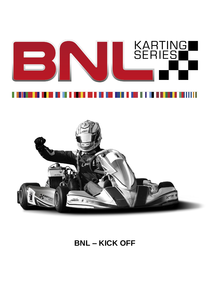# KARTING<br>SERIE<u>S</u> W



# **BNL – KICK OFF**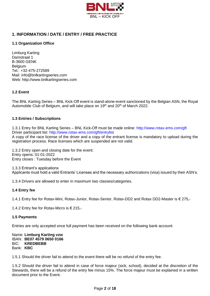

# **1. INFORMATION / DATE / ENTRY / FREE PRACTICE**

# **1.1 Organization Office**

Limburg Karting Damstraat 1 B-3600 GENK **Belgium** Tel.: +32-475-272589 Mail: [info@bnlkartingseries.com](mailto:info@bnlkartingseries.com) Web: [http://www.bnlkartingseries.com](http://www.bnlkartingseries.com/)

# **1.2 Event**

The BNL Karting Series – BNL Kick-Off event is stand-alone-event sanctioned by the Belgian ASN, the Royal Automobile Club of Belgium, and will take place on 19<sup>th</sup> and 20<sup>th</sup> of March 2022.

#### **1.3 Entries / Subscriptions**

1.3.1 Entry for BNL Karting Series – BNL Kick-Off must be made online: [http://www.rotax-ems.com/g](http://www.rotax-ems.com/)ft Driver participant list: <http://www.rotax-ems.com/gft/entrylist>

A copy of the race license of the driver and a copy of the entrant license is mandatory to upload during the registration process. Race licenses which are suspended are not valid.

1.3.2 Entry open and closing date for the event: Entry opens: 01-01-2022 Entry closes : Tuesday before the Event

1.3.3 Entrant's applications Applicants must hold a valid Entrants' Licenses and the necessary authorizations (visa) issued by their ASN's.

1.3.4 Drivers are allowed to enter in maximum two classes/categories.

#### **1.4 Entry fee**

1.4.1 Entry fee for Rotax-Mini, Rotax-Junior, Rotax-Senior, Rotax-DD2 and Rotax DD2-Master is € 275,-

1.4.2 Entry fee for Rotax-Micro is € 215,-

#### **1.5 Payments**

Entries are only accepted once full payment has been received on the following bank account:

Name: **Limburg Karting vzw** IBAN: **BE07 4579 0650 0166** BIC: **KREDBEBB** Bank: **KBC**

1.5.1 Should the driver fail to attend to the event there will be no refund of the entry fee.

1.5.2 Should the driver fail to attend in case of force majeur (sick, school), decided at the discretion of the Stewards, there will be a refund of the entry fee minus 15%. The force majeur must be explained in a written document prior to the Event.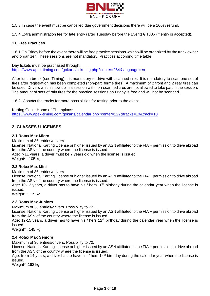

1.5.3 In case the event must be cancelled due government decisions there will be a 100% refund.

1.5.4 Extra administration fee for late entry (after Tuesday before the Event) € 100,- (if entry is accepted).

#### **1.6 Free Practices**

1.6.1 On Friday before the event there will be free practice sessions which will be organized by the track owner and organizer. These sessions are not mandatory. Practices according time table.

Day tickets must be purchased through: <https://www.apex-timing.com/gokarts/ticketing.php?center=264&language=en>

After lunch break (see Timing) it is mandatory to drive with scanned tires. It is mandatory to scan one set of tires after registration has been completed (non-parc fermé tires). A maximum of 2 front and 2 rear tires can be used. Drivers which show up in a session with non-scanned tires are not allowed to take part in the session. The amount of sets of rain tires for the practice sessions on Friday is free and will not be scanned.

1.6.2. Contact the tracks for more possibilities for testing prior to the event.

Karting Genk: Home of Champions: <https://www.apex-timing.com/gokarts/calendar.php?center=122&tracks=10&track=10>

# **2. CLASSES / LICENSES**

# **2.1 Rotax Max Micro**

Maximum of 36 entries/drivers

License: National Karting License or higher issued by an ASN affiliated to the FIA + permission to drive abroad from the ASN of the country where the license is issued.

Age: 7-11 years, a driver must be 7 years old when the license is issued. Weight\* : 105 kg

#### **2.2 Rotax Max Mini**

Maximum of 36 entries/drivers

License: National Karting License or higher issued by an ASN affiliated to the FIA + permission to drive abroad from the ASN of the country where the license is issued.

Age: 10-13 years, a driver has to have his / hers  $10<sup>th</sup>$  birthday during the calendar year when the license is issued.

Weight\* : 115 kg

#### **2.3 Rotax Max Juniors**

Maximum of 36 entries/drivers. Possibility to 72.

License: National Karting License or higher issued by an ASN affiliated to the FIA + permission to drive abroad from the ASN of the country where the license is issued.

Age: 12-15 years, a driver has to have his / hers  $12<sup>th</sup>$  birthday during the calendar year when the license is issued.

Weight\* : 145 kg

#### **2.4 Rotax Max Seniors**

Maximum of 36 entries/drivers. Possibility to 72.

License: National Karting License or higher issued by an ASN affiliated to the FIA + permission to drive abroad from the ASN of the country where the license is issued.

Age: from 14 years, a driver has to have his / hers  $14<sup>th</sup>$  birthday during the calendar year when the license is issued.

Weight\*: 162 kg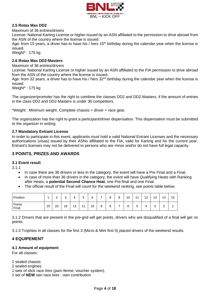

# **2.5 Rotax Max DD2**

Maximum of 36 entries/drivers

License: National Karting License or higher issued by an ASN affiliated to the permission to drive abroad from the ASN of the country where the license is issued.

Age: from 15 years, a driver has to have his / hers  $15<sup>th</sup>$  birthday during the calendar year when the license is issued.

Weight\* : 175 kg

#### **2.6 Rotax Max DD2-Masters**

Maximum of 36 entries/drivers

License: National Karting License or higher issued by an ASN affiliated to the FIA permission to drive abroad from the ASN of the country where the license is issued.

Age: from 32 years, a driver has to have his / hers 32<sup>nd</sup> birthday during the calendar year when the license is issued.

Weight\* : 175 kg

The organizer/promoter has the right to combine the classes DD2 and DD2-Masters, if the amount of entries in the class DD2 and DD2-Masters is under 36 competitors.

\*Weight : Minimum weight. Complete chassis + driver + race gear.

The organization has the right to grant a participant/driver dispensation. This dispensation must be submitted to the organizer in writing.

#### **2.7 Mandatory Entrant License**

In order to participate in this event, applicants must hold a valid National Entrant Licenses and the necessary authorizations (visas) issued by their ASNs affiliated to the FIA, valid for Karting and for the current year, Entrant's licenses may not be delivered to persons who are minor and/or do not have full legal capacity.

# **3 POINTS, PRIZES AND AWARDS**

#### **3.1 Event result**

3.1.1

- In case there are 36 drivers or less in the category, the event will have a Pre Final and a Final.
- In case of more than 36 drivers in the category, the event will have Qualifying Heats with Ranking after Heats, a **potential Second Chance Heat**, one Pre-final and one Final.
- The official result of the Final will count for the weekend ranking, see points table below.

| Position        |    | $\sim$<br>- | $\sim$<br>ت | 4  | -<br>∽<br>ັ | 6  | - | 8 | 9 | 10 | $\overline{A}$ | 12 | 13          | 14          | 15 |
|-----------------|----|-------------|-------------|----|-------------|----|---|---|---|----|----------------|----|-------------|-------------|----|
| Points<br>Final | 25 | 20          | 16          | 13 | 4.4         | 10 | 9 | 8 | - | 6  | -<br>∽<br>◡    |    | $\sim$<br>ບ | $\sim$<br>_ |    |

3.1.2 Drivers that are present in the pre-grid will get points, drivers who are disqualified of a final will get no points.

3.1.3 Trophies in all classes for the first 3 (Micro & Mini first 5) placed drivers of the weekend results.

# **4 EQUIPEMENT**

#### **4.1 Amount of equipment**

For all classes:

- 1 sealed chassis
- 2 sealed engines
- 1 sets of slick race tires (parc-ferme, voucher system),
- 1 set of **NEW** rain race tires : own contribution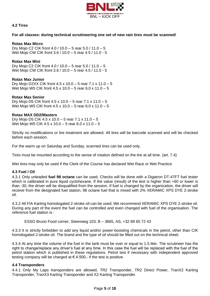

#### **4.2 Tires**

#### **For all classes: during technical scrutineering one set of new rain tires must be scanned!**

#### **Rotax Max Micro**

Dry Mojo C2 CIK front 4.0 / 10.0 – 5 rear 5.0 / 11.0 – 5 Wet Mojo CW CIK front 3.6 / 10.0 – 5 rear 4.5 / 11.0 - 5

#### **Rotax Max Mini**

Dry Mojo C2 CIK front 4.0 / 10.0 – 5 rear 5.0 / 11.0 – 5 Wet Mojo CW CIK front 3.6 / 10.0 – 5 rear 4.5 / 11.0 - 5

#### **Rotax Max Junior**

Dry Mojo D2XX CIK front 4.5 x 10.0 – 5 rear 7.1 x 11.0 – 5 Wet Mojo W5 CIK front 4.5 x 10.0 – 5 rear 6.0 x 11.0 – 5

#### **Rotax Max Senior**

Dry Mojo D5 CIK front 4.5 x 10.0 – 5 rear 7.1 x 11.0 – 5 Wet Mojo W5 CIK front 4.5 x 10.0 – 5 rear 6.0 x 11.0 – 5

#### **Rotax MAX DD2/Masters**

Dry Mojo D5 CIK 4.5 x 10.0 – 5 rear 7.1 x 11.0 – 5 Wet Mojo W5 CIK 4.5 x 10.0 – 5 rear 6.0 x 11.0 – 5

Strictly no modifications or tire treatment are allowed. All tires will be barcode scanned and will be checked before each session.

For the warm up on Saturday and Sunday, scanned tires can be used only.

Tires must be mounted according to the sense of rotation defined on the tire at all time. (art. 7.4)

Wet tires may only be used if the Clerk of the Course has declared Wet Race or Wet Practice.

#### **4.3 Fuel / Oil**

4.3.1 Only unleaded **fuel 98 octane** can be used. Checks will be done with a Digatron DT-47FT fuel tester which is calibrated in pure liquid cyclohexane. If the value (result) of the test is higher than +60 or lower is than -30, the driver will be disqualified from the session. If fuel is changed by the organization, the driver will receive from the designated fuel station, 98 octane fuel that is mixed with 2% XERAMIC XPS DYE 2-stroke oil.

4.3.2 All FIA Karting homologated 2-stroke oil can be used. We recommend XERAMIC XPS DYE 2-stroke oil. During any part of the event the fuel can be controlled and even changed with fuel of the organisation. The reference fuel station is :

ESSO Bruno Food corner, Steenweg 103, B – 3665, AS, +32 89 65 72 43

4.3.3 It is strictly forbidden to add any liquid and/or power-boosting chemicals in the petrol, other than CIK homologated 2-stroke oil. The brand and the type of oil should be filled out on the technical sheet.

4.3.4 At any time the volume of the fuel in the tank must be over or equal to 1,5 liter. The scrutineer has the right to change/replace any driver's fuel at any time. In this case the fuel will be replaced with the fuel of the petrol station which is published in these regulations. Petrol test if necessary with independent approved testing company will be charged at  $\epsilon$  4.500,- if the test is positive.

#### **4.4 Transponders**

4.4.1 Only My Laps transponders are allowed, TR2 Transponder, TR2 Direct Power, TranX2 Karting Transponder, TranX3 Karting Transponder and X2 Karting Transponder.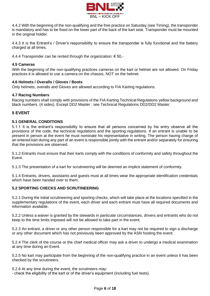

4.4.2 With the beginning of the non-qualifying and the free practice on Saturday (see Timing), the transponder is mandatory and has to be fixed on the lower part of the back of the kart seat. Transponder must be mounted in the original holder.

4.4.3 It is the Entrant's / Driver's responsibility to ensure the transponder is fully functional and the battery charged at all times.

4.4.4 Transponder can be rented through the organization: € 50,-

#### **4.5 Cameras**

With the beginning of the non-qualifying practices cameras on the kart or helmet are not allowed. On Friday practices it is allowed to use a camera on the chassis, NOT on the helmet.

#### **4.6 Helmets / Overalls / Gloves / Boots**

Only helmets, overalls and Gloves are allowed according to FIA Karting regulations.

#### **4.7 Racing Numbers**

Racing numbers shall comply with provisions of the FIA Karting Technical Regulations yellow background and black numbers. (4 sides). Except DD2 Master : see Technical Regulations DD2/DD2 Master.

# **5 EVENT**

#### **5.1 GENERAL CONDITIONS**

5.1.1 It is the entrant's responsibility to ensure that all persons concerned by his entry observe all the provisions of the code, the technical regulations and the sporting regulations. If an entrant is unable to be present in person at the event he must nominate his representative in writing. The person having charge of an entered kart during any part of an event is responsible jointly with the entrant and/or separately for ensuring that the provisions are observed.

5.1.2 Entrants must ensure that their karts comply with the conditions of conformity and safety throughout the Event.

5.1.3 The presentation of a kart for scrutineering will be deemed an implicit statement of conformity.

5.1.4 Entrants, drivers, assistants and guests must at all times wear the appropriate identification credentials which have been handed over to them.

# **5.2 SPORTING CHECKS AND SCRUTINEERING**

5.2.1 During the initial scrutineering and sporting checks, which will take place at the locations specified in the supplementary regulations of the event, each driver and each entrant must have all required documents and information available.

5.2.2 Unless a waiver is granted by the stewards in particular circumstances, drivers and entrants who do not keep to the time limits imposed will not be allowed to take part in the event.

5.2.3 An entrant, a driver or any other person responsible for a kart may not be required to sign a discharge or any other document which has not previously been approved by the ASN hosting the event.

5.2.4 The clerk of the course or the chief medical officer may ask a driver to undergo a medical examination at any time during an Event.

5.2.5 No kart may participate from the beginning of the non-qualifying practice in an event unless it has been checked by the scrutineers.

5.2.6 At any time during the event, the scrutineers may:

- check the eligibility of the kart or of the driver's equipment (including fuel tests).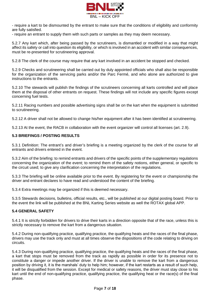

- require a kart to be dismounted by the entrant to make sure that the conditions of eligibility and conformity are fully satisfied.

- require an entrant to supply them with such parts or samples as they may deem necessary.

5.2.7 Any kart which, after being passed by the scrutineers, is dismantled or modified in a way that might affect its safety or call into question its eligibility, or which is involved in an accident with similar consequences, must be re-presented for scrutineering approval.

5.2.8 The clerk of the course may require that any kart involved in an accident be stopped and checked.

5.2.9 Checks and scrutineering shall be carried out by duly appointed officials who shall also be responsible for the organization of the servicing parks and/or the Parc Fermé, and who alone are authorized to give instructions to the entrants.

5.2.10 The stewards will publish the findings of the scrutineers concerning all karts controlled and will place them at the disposal of other entrants on request. These findings will not include any specific figures except concerning fuel tests.

5.2.11 Racing numbers and possible advertising signs shall be on the kart when the equipment is submitted to scrutineering.

5.2.12 A driver shall not be allowed to change his/her equipment after it has been identified at scrutineering.

5.2.13 At the event, the RACB in collaboration with the event organizer will control all licenses (art. 2.9).

#### **5.3 BRIEFINGS / POSTING RESULTS**

5.3.1 Definition: The entrant's and driver's briefing is a meeting organized by the clerk of the course for all entrants and drivers entered in the event.

5.3.2 Aim of the briefing: to remind entrants and drivers of the specific points of the supplementary regulations concerning the organization of the event; to remind them of the safety notions, either general, or specific to the circuit used; to give any clarification concerning the interpretation of the regulations.

5.3.3 The briefing will be online available prior to the event. By registering for the event or championship the driver and entrant declares to have read and understood the content of the briefing.

5.3.4 Extra meetings may be organized if this is deemed necessary.

5.3.5 Stewards decisions, bulletins, official results, etc., will be published at our digital posting board. Prior to the event the link will be published at the BNL Karting Series website as well the ROTAX global APP.

#### **5.4 GENERAL SAFETY**

5.4.1 It is strictly forbidden for drivers to drive their karts in a direction opposite that of the race, unless this is strictly necessary to remove the kart from a dangerous situation.

5.4.2 During non-qualifying practice, qualifying practice, the qualifying heats and the races of the final phase, drivers may use the track only and must at all times observe the dispositions of the code relating to driving on circuits.

5.4.3 During non-qualifying practice, qualifying practice, the qualifying heats and the races of the final phase, a kart that stops must be removed from the track as rapidly as possible in order for its presence not to constitute a danger or impede another driver. If the driver is unable to remove the kart from a dangerous position by driving it, it is the marshals' duty to help him; however, if the kart restarts as a result of such help, it will be disqualified from the session. Except for medical or safety reasons, the driver must stay close to his kart until the end of non-qualifying practice, qualifying practice, the qualifying heat or the race(s) of the final phase.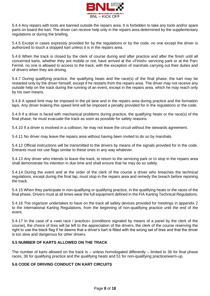

5.4.4 Any repairs with tools are banned outside the repairs area. It is forbidden to take any tools and/or spare parts on board the kart. The driver can receive help only in the repairs area determined by the supplementary regulations or during the briefing.

5.4.5 Except in cases expressly provided for by the regulations or by the code, no one except the driver is authorized to touch a stopped kart unless it is in the repairs area.

5.4.6 When the track is closed by the clerk of course during and after practice and after the finish until all concerned karts, whether they are mobile or not, have arrived at the «Finish» servicing park or at the Parc Fermé, no one is allowed to access to the track, with the exception of marshals carrying out their duties and of drivers when they are driving.

5.4.7 During qualifying practice, the qualifying heats and the race(s) of the final phase, the kart may be restarted only by the driver himself, except if he restarts from the repairs area. The driver may not receive any outside help on the track during the running of an event, except in the repairs area, which he may reach only by his own means.

5.4.8 A speed limit may be imposed in the pit lane and in the repairs area during practice and the formation laps. Any driver braking this speed limit will be imposed a penalty provided for in the regulations or the code.

5.4.9 If a driver is faced with mechanical problems during practice, the qualifying heats or the race(s) of the final phase, he must evacuate the track as soon as possible for safety reasons.

5.4.10 If a driver is involved in a collision, he may not leave the circuit without the stewards agreement.

5.4.11 No driver may leave the repairs area without having been invited to do so by marshals.

5.4.12 Official instructions will be transmitted to the drivers by means of the signals provided for in the code. Entrants must not use flags similar to these ones in any way whatever.

5.4.13 Any driver who intends to leave the track, to return to the servicing park or to stop in the repairs area shall demonstrate his intention in due time and shall ensure that he may do so safely.

5.4.14 During the event and at the order of the clerk of the course a driver who breaches the technical regulations, except during the final lap, must stop in the repairs area and remedy the breach before rejoining the track.

5.4.15 When they participate in non-qualifying or qualifying practice, in the qualifying heats or the races of the final phase, Drivers must at all times wear the full equipment defined in the FIA Karting Technical Regulations.

5.4.16 The organizer undertakes to have on the track all safety devices provided for meetings in appendix 2 to the International Karting Regulations, from the beginning of non-qualifying practice until the end of the event.

5.4.17 In the case of a «wet race / practice» (conditions signaled by means of a panel by the clerk of the course), the choice of tires will be left to the appreciation of the drivers, the clerk of the course reserving the right to use the black flag if he deems that a driver's kart is fitted with the wrong set of tires and that the driver is too slow and dangerous for other drivers.

#### **5.5 NUMBER OF KARTS ALLOWED ON THE TRACK**

The number of karts allowed on the track is – unless homologated differently – limited to 36 for final phase races, 36 for qualifying practice and the qualifying heats and 51 for non-qualifying practice/warm-up.

#### **5.6 CODE OF DRIVING CONDUCT ON KART CIRCUITS**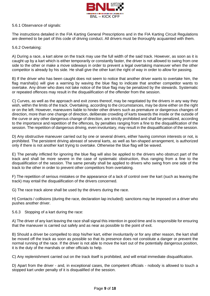

#### 5.6.1 Observance of signals:

The instructions detailed in the FIA Karting General Prescriptions and in the FIA Karting Circuit Regulations are deemed to be part of this code of driving conduct. All drivers must be thoroughly acquainted with them.

#### 5.6.2 Overtaking:

A) During a race, a kart alone on the track may use the full width of the said track. However, as soon as it is caught up by a kart which is either temporarily or constantly faster, the driver is not allowed to swing from one side to the other or make a move sideways in order to prevent a legal overtaking maneuver when the other competitor is already by his side. He shall give the other kart the right of way in order to allow for passing.

B) If the driver who has been caught does not seem to notice that another driver wants to overtake him, the flag marshal(s) will give a warning by waving the blue flag to indicate that another competitor wants to overtake. Any driver who does not take notice of the blue flag may be penalized by the stewards. Systematic or repeated offences may result in the disqualification of the offender from the session.

C) Curves, as well as the approach and exit zones thereof, may be negotiated by the drivers in any way they wish, within the limits of the track. Overtaking, according to the circumstances, may be done either on the right or on the left. However, maneuvers liable to hinder other drivers such as premature or dangerous changes of direction, more than one change of direction, deliberate crowding of karts towards the inside or the outside of the curve or any other dangerous change of direction, are strictly prohibited and shall be penalized, according to the importance and repetition of the offences, by penalties ranging from a fine to the disqualification of the session. The repetition of dangerous driving, even involuntary, may result in the disqualification of the session.

D) Any obstructive maneuver carried out by one or several drivers, either having common interests or not, is prohibited. The persistent driving abreast of several karts, as well as fan-shaped arrangement, is authorized only if there is not another kart trying to overtake. Otherwise the blue flag will be waved.

E) The penalty inflicted for ignoring the blue flag will also be applied to the drivers who obstruct part of the track and shall be more severe in the case of systematic obstruction, thus ranging from a fine to the disqualification of the session. The same penalty shall be applied to drivers who swing from one side of the track to the other in order to prevent other competitors from overtaking.

F) The repetition of serious mistakes or the appearance of a lack of control over the kart (such as leaving the track) may entail the disqualification of the drivers concerned.

G) The race track alone shall be used by the drivers during the race.

H) Contacts / collisions (during the race, declaration lap included): sanctions may be imposed on a driver who pushes another driver.

5.6.3 Stopping of a kart during the race:

A) The driver of any kart leaving the race shall signal this intention in good time and is responsible for ensuring that the maneuver is carried out safely and as near as possible to the point of exit.

B) Should a driver be compelled to stop his/her kart, either involuntarily or for any other reason, the kart shall be moved off the track as soon as possible so that its presence does not constitute a danger or prevent the normal running of the race. If the driver is not able to move the kart out of the potentially dangerous position, it is the duty of the marshals or other officials to help.

C) Any replenishment carried out on the track itself is prohibited, and will entail immediate disqualification.

D) Apart from the driver - and, in exceptional cases, the competent officials - nobody is allowed to touch a stopped kart under penalty of it is disqualified of the session.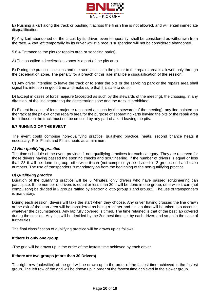

E) Pushing a kart along the track or pushing it across the finish line is not allowed, and will entail immediate disqualification.

F) Any kart abandoned on the circuit by its driver, even temporarily, shall be considered as withdrawn from the race. A kart left temporarily by its driver whilst a race is suspended will not be considered abandoned.

5.6.4 Entrance to the pits (or repairs area or servicing parks):

A) The so-called «deceleration zone» is a part of the pits area.

B) During the practice sessions and the race, access to the pits or to the repairs area is allowed only through the deceleration zone. The penalty for a breach of this rule shall be a disqualification of the session.

C) Any driver intending to leave the track or to enter the pits or the servicing park or the repairs area shall signal his intention in good time and make sure that it is safe to do so.

D) Except in cases of force majeure (accepted as such by the stewards of the meeting), the crossing, in any direction, of the line separating the deceleration zone and the track is prohibited.

E) Except in cases of force majeure (accepted as such by the stewards of the meeting), any line painted on the track at the pit exit or the repairs area for the purpose of separating karts leaving the pits or the repair area from those on the track must not be crossed by any part of a kart leaving the pits.

#### **5.7 RUNNING OF THE EVENT**

The event could comprise non-qualifying practice, qualifying practice, heats, second chance heats if necessary, Pré- Finals and Finals heats as a minimum.

#### *A) Non-qualifying practice*

The time schedule of the event provides 1 non-qualifying practices for each category. They are reserved for those drivers having passed the sporting checks and scrutineering. If the number of drivers is equal or less than 23 it will be done in group, otherwise it can (not compulsory) be divided in 2 groups odd and even numbers. The use of transponders is mandatory as from the beginning of the non-qualifying practice.

#### *B) Qualifying practice*

Duration of the qualifying practice will be 5 Minutes, only drivers who have passed scrutineering can participate. If the number of drivers is equal or less than 30 it will be done in one group, otherwise it can (not compulsory) be divided in 2 groups raffled by electronic lotto (group 1 and group2). The use of transponders is mandatory.

During each session, drivers will take the start when they choose. Any driver having crossed the line drawn at the exit of the start area will be considered as being a starter and his lap time will be taken into account, whatever the circumstances. Any lap fully covered is timed. The time retained is that of the best lap covered during the session. Any ties will be decided by the 2nd best time set by each driver, and so on in the case of further ties.

The final classification of qualifying practice will be drawn up as follows:

#### **If there is only one group**

-The grid will be drawn up in the order of the fastest time achieved by each driver.

#### **If there are two groups (more than 30 Drivers)**

The right row (polesitter) of the grid will be drawn up in the order of the fastest time achieved in the fastest group. The left row of the grid will be drawn up in order of the fastest time achieved in the slower group.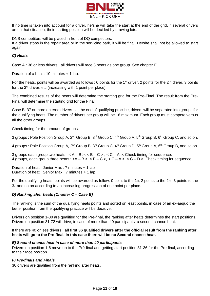

If no time is taken into account for a driver, he/she will take the start at the end of the grid. If several drivers are in that situation, their starting position will be decided by drawing lots.

DNS competitors will be placed in front of DQ competitors.

If a driver stops in the repair area or in the servicing park, it will be final. He/she shall not be allowed to start again.

# *C) Heats*

Case A : 36 or less drivers : all drivers will race 3 heats as one group. See chapter F.

Duration of a heat : 10 minutes + 1 lap.

For the heats, points will be awarded as follows : 0 points for the 1<sup>st</sup> driver, 2 points for the 2<sup>nd</sup> driver, 3 points for the 3<sup>rd</sup> driver, etc (increasing with 1 point per place).

The combined results of the heats will determine the starting grid for the Pre-Final. The result from the Pre-Final will determine the starting grid for the Final.

Case B: 37 or more entered drivers - at the end of qualifying practice, drivers will be separated into groups for the qualifying heats. The number of drivers per group will be 18 maximum. Each group must compete versus all the other groups.

Check timing for the amount of groups.

3 groups : Pole Position Group A, 2<sup>nd</sup> Group B, 3<sup>rd</sup> Group C, 4<sup>th</sup> Group A, 5<sup>th</sup> Group B, 6<sup>th</sup> Group C, and so on.

4 groups : Pole Position Group A, 2<sup>nd</sup> Group B, 3<sup>rd</sup> Group C, 4<sup>th</sup> Group D, 5<sup>th</sup> Group A, 6<sup>th</sup> Group B, and so on.

3 groups each group two heats :  $\lt A - B \gt \lt B - C \gt \lt$ ,  $\lt C - A \gt \lt$ . Check timing for sequence. 4 groups, each group three heats :  $\langle A - B \rangle$ ,  $\langle B - C \rangle$ ,  $\langle C - A \rangle$ ,  $\langle C - D \rangle$ . Check timing for sequence.

Duration of heat : Junior Max : 7 minutes + 1 lap Duration of heat : Senior Max : 7 minutes + 1 lap

For the qualifying heats, points will be awarded as follow: 0 point to the 1st, 2 points to the  $2_{nd}$ , 3 points to the 3rd and so on according to an increasing progression of one point per place.

#### *D) Ranking after heats (Chapter C – Case B)*

The ranking is the sum of the qualifying heats points and sorted on least points, in case of an ex-aequo the better position from the qualifying practice will be decisive.

Drivers on position 1-30 are qualified for the Pre-final, the ranking after heats determines the start positions. Drivers on position 31-72 will drive, in case of more than 40 participants, a second chance heat.

If there are 40 or less drivers : **all first 36 qualified drivers after the official result from the ranking after heats will go to the Pre-final. In this case there will be no Second chance heat.**

#### *E) Second chance heat in case of more than 40 participants*

Drivers on position 1-6 move up to the Pré-final and getting start position 31-36 for the Pre-final, according to their race position.

#### *F) Pre-finals and Finals*

36 drivers are qualified from the ranking after heats.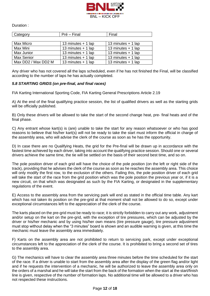

Duration :

| Category            | Pré – Final          | Final                |
|---------------------|----------------------|----------------------|
|                     |                      |                      |
| <b>Max Micro</b>    | 13 minutes $+$ 1 lap | 13 minutes $+$ 1 lap |
| Max Mini            | 13 minutes $+$ 1 lap | 13 minutes $+$ 1 lap |
| Max Junior          | 13 minutes $+$ 1 lap | 13 minutes $+$ 1 lap |
| Max Senior          | 13 minutes $+$ 1 lap | 13 minutes $+$ 1 lap |
| Max DD2 / Max DD2 M | 13 minutes $+$ 1 lap | 13 minutes + 1 lap   |

Any driver who has not covered all the laps scheduled, even if he has not finished the Final, will be classified according to the number of laps he has actually completed.

#### *5.8 STARTING GRIDS (on pre-final, and final races)*

FIA Karting International Sporting Code, FIA Karting General Prescriptions Article 2.19

A) At the end of the final qualifying practice session, the list of qualified drivers as well as the starting grids will be officially published.

B) Only these drivers will be allowed to take the start of the second change heat, pre- final heats and of the final phase.

C) Any entrant whose kart(s) is (are) unable to take the start for any reason whatsoever or who has good reasons to believe that his/her kart(s) will not be ready to take the start must inform the official in charge of the assembly area, who will advise the clerk of the course as soon as he has the opportunity.

D) In case there are no Qualifying Heats, the grid for the Pre-final will be drawn up in accordance with the fastest time achieved by each driver, taking into account the qualifying practice session. Should one or several drivers achieve the same time, the tie will be settled on the basis of their second best time, and so on.

The pole position driver of each grid will have the choice of the pole position (on the left or right side of the track), providing that he advises the clerk of the course as soon as he reaches the assembly area. This choice will only modify the first row, to the exclusion of the others. Failing this, the pole position driver of each grid will take the start of the race from the grid position which was the pole position the previous year or, if it is a new circuit, on that which was designated as such by the FIA Karting, or designated in the supplementary regulations of the event.

E) Access to the assembly area from the servicing park will end as stated in the official time table. Any kart which has not taken its position on the pre-grid at that moment shall not be allowed to do so, except under exceptional circumstances left to the appreciation of the clerk of the course.

The karts placed on the pre-grid must be ready to race; it is strictly forbidden to carry out any work, adjustment and/or setup on the kart on the pre-grid, with the exception of tire pressures, which can be adjusted by the driver or his/her mechanic and by using his/her own means (tire pressure gauge), tire pressure adjustment must stop without delay when the "3 minutes" board is shown and an audible warning is given, at this time the mechanic must leave the assembly area immediately.

F) Karts on the assembly area are not prohibited to return to servicing park, except under exceptional circumstances left to the appreciation of the clerk of the course. It is prohibited to bring a second set of tires to the assembly area.

G) The mechanics will have to clear the assembly area three minutes before the time scheduled for the start of the race. If a driver is unable to start from the assembly area after the display of the green flag and/or light and if he requests the intervention of a mechanic, he will be authorized to leave the assembly area only on the orders of a marshal and he will take the start from the back of the formation when the start at the start/finish line is given, respective of the number of formation laps. No additional time will be allowed to a driver who has not respected these instructions.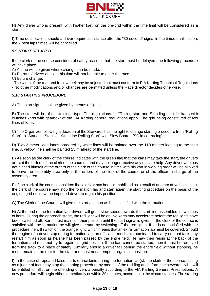

H) Any driver who is present, with his/her kart, on the pre-grid within the time limit will be considered as a starter.

I) Time qualification: should a driver require assistance after the "30-second" signal in the timed qualification, the 2 best laps times will be cancelled.

# *5.9 START DELAYED*

If the clerk of the course considers of safety reasons that the start must be delayed, the following procedure will take place.

A) A time will be given where change can be made.

B) Entrants/drivers outside this time will not be able to enter the race.

C) By tire change:

- The width of the rear and front wheel may be adjusted but must conform to FIA Karting Technical Regulations

- No other modifications and/or changes are permitted unless the Race director decides otherwise.

# *5.10 STARTING PROCEDURE*

A) The start signal shall be given by means of lights.

B) The start will be of the «rolling» type. The regulations for "Rolling start and Standing start for karts with clutches karts with gearbox" of the FIA Karting general regulations apply. The grid being constituted of two lines of karts.

C) The Organizer following a decision of the Stewards has the right to change starting procedure from "Rolling Start" to "Standing Start" or "One Line Rolling Start" with Slow Boards.(SC in car racing).

D) Two 2-meter wide lanes bordered by white lines will be painted over the 110 meters leading to the start line. A yellow line shall be painted 25 m ahead of the start line.

E) As soon as the clerk of the course indicates with the green flag that the karts may take the start, the drivers are «at the orders of the clerk of the course» and may no longer receive any outside help. Any driver who has not placed himself at the orders of the clerk of the course in time with his kart in working order will be allowed to leave the assembly area only at the orders of the clerk of the course or of the officer in charge of the assembly area.

F) If the clerk of the course considers that a driver has been immobilized as a result of another driver's mistake, the clerk of the course may stop the formation lap and start again the starting procedure on the basis of the original grid or allow the impeded driver to regain his position.

G) The Clerk of the Course will give the start as soon as he is satisfied with the formation.

H) At the end of the formation lap, drivers will go at slow speed towards the start line assembled in two lines of karts. During the approach stage, the red light will be on. No karts may accelerate before the red lights have been switched off. Karts must maintain their position until the start signal is given. If the clerk of the course is satisfied with the formation he will give the start by switching off the red lights. If he is not satisfied with the procedure, he will switch on the orange light, which means that an extra formation lap must be covered. Should the engine of a driver stop during formation lap, an official or mechanic nominated to carry out that task may restart him as soon as he/she has been passed by the entire field. He may then rejoin at the back of the formation and must not try to regain his grid position. If the kart cannot be started, then it must be removed from the track to a place of safety. Similarly should a driver fall behind the entire field without stopping, he must remain at the rear for the start and must not attempt to regain his position.

I) In the case of repeated false starts or incidents during the formation lap(s), the clerk of the course, acting as a judge of fact, may stop the starting procedure by means of the red flag and inform the stewards, who will be entitled to inflict on the offending drivers a penalty according to the FIA Karting General Prescriptions. A new procedure will begin either immediately or within 30 minutes, according to the circumstances. The starting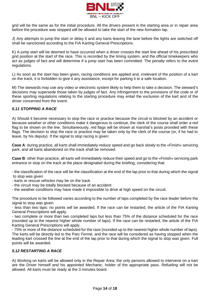

grid will be the same as for the initial procedure. All the drivers present in the starting area or in repair area before the procedure was stopped will be allowed to take the start of the new formation lap.

J) Any attempts to jump the start or delay it and any karts leaving the lane before the lights are switched off shall be sanctioned according to the FIA Karting General Prescriptions.

K) A jump start will be deemed to have occurred when a driver crosses the start line ahead of his prescribed grid position at the start of the race. This is recorded by the timing system, and the official timekeepers who act as judges of fact and will determine if a jump start has been committed. The penalty refers to the event regulations.

L) As soon as the start has been given, racing conditions are applied and, irrelevant of the position of a kart on the track, it is forbidden to give it any assistance, except for parking it to a safe location.

M) The stewards may use any video or electronic system likely to help them to take a decision. The steward's decisions may supersede those taken by judges of fact. Any infringement to the provisions of the code or of these sporting regulations relating to the starting procedure may entail the exclusion of the kart and of the driver concerned from the event.

#### *5.11 STOPPING A RACE*

A) Should it become necessary to stop the race or practice because the circuit is blocked by an accident or because weather or other conditions make it dangerous to continue, the clerk of the course shall order a red flag to be shown on the line. Simultaneously, red flags will be shown at marshal's posts provided with these flags. The decision to stop the race or practice may be taken only by the clerk of the course (or, if he had to leave, by his deputy). If the signal to stop racing is given:

**Case A**: during practice, all karts shall immediately reduce speed and go back slowly to the «Finish» servicing park, and all karts abandoned on the track shall be removed.

**Case B**: other than practice, all karts will immediately reduce their speed and go to the «Finish» servicing park entrance or stop on the track at the place designated during the briefing, considering that:

- the classification of the race will be the classification at the end of the lap prior to that during which the signal to stop was given

- karts or rescue vehicles may be on the track
- the circuit may be totally blocked because of an accident
- the weather conditions may have made it impossible to drive at high speed on the circuit.

The procedure to be followed varies according to the number of laps completed by the race leader before the signal to stop was given:

- less than two laps: no points will be awarded. If the race can be restarted, the article of the FIA Karting General Prescriptions will apply.

- two complete or more than two completed laps but less than 75% of the distance scheduled for the race (rounded up to the nearest higher whole number of laps). If the race can be restarted, the article of the FIA Karting General Prescriptions will apply.

- 75% or more of the distance scheduled for the race (rounded up to the nearest higher whole number of laps). The karts will be directly led to the Parc Fermé, and the race will be considered as having stopped when the leading kart crossed the line at the end of the lap prior to that during which the signal to stop was given. Full points will be awarded.

#### *5.12 RESTARTING A RACE*

A) Working on karts will be allowed only in the Repair Area; the only persons allowed to intervene on a kart are the Driver himself and his appointed Mechanic, holder of the appropriate pass. Refueling will not be allowed. All karts must be ready at the 3 minutes board.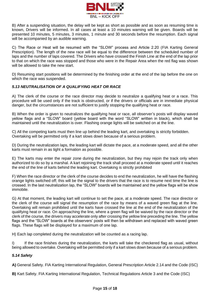

B) After a suspending situation, the delay will be kept as short as possible and as soon as resuming time is known, Drivers will be informed. In all cases at least a 10 minutes warning will be given. Boards will be presented 10 minutes, 5 minutes, 3 minutes, 1 minute and 30 seconds before the resumption. Each signal will be accompanied by an audible warning.

C) The Race or Heat will be resumed with the "SLOW" process and Article 2.20 (FIA Karting General Prescription). The length of the new race will be equal to the difference between the scheduled number of laps and the number of laps covered. The Drivers who have crossed the Finish Line at the end of the lap prior to that on which the race was stopped and those who were in the Repair Area when the red flag was shown will be allowed to take the new start.

D) Resuming start positions will be determined by the finishing order at the end of the lap before the one on which the race was suspended.

# *5.13 NEUTRALISATION OF A QUALIFYING HEAT OR RACE*

A) The clerk of the course or the race director may decide to neutralize a qualifying heat or a race. This procedure will be used only if the track is obstructed, or if the drivers or officials are in immediate physical danger, but the circumstances are not sufficient to justify stopping the qualifying heat or race.

B) When the order is given to neutralizes the qualifying heat or race, all observer's posts will display waved yellow flags and a "SLOW" board (yellow board with the word "SLOW" written in black), which shall be maintained until the neutralization is over. Flashing orange lights will be switched on at the line.

C) All the competing karts must then line up behind the leading kart, and overtaking is strictly forbidden. Overtaking will be permitted only if a kart slows down because of a serious problem.

D) During the neutralization laps, the leading kart will dictate the pace, at a moderate speed, and all the other karts must remain in as tight a formation as possible.

E) The karts may enter the repair zone during the neutralization, but they may rejoin the track only when authorized to do so by a marshal. A kart rejoining the track shall proceed at a moderate speed until it reaches the end of the line of karts behind the leading kart. Overtaking is strictly prohibited

F) When the race director or the clerk of the course decides to end the neutralization, he will have the flashing orange lights switched off; this will be the signal to the drivers that the race is to resume next time the line is crossed. In the last neutralization lap, the "SLOW" boards will be maintained and the yellow flags will be show immobile.

G) At that moment, the leading kart will continue to set the pace, at a moderate speed. The race director or the clerk of the course will signal the resumption of the race by means of a waved green flag at the line. Overtaking will remain prohibited until the karts have crossed the line at the end of the neutralization of the qualifying heat or race. On approaching the line, where a green flag will be waived by the race director or the clerk of the course, the drivers may accelerate only after crossing the yellow line preceding the line. The yellow flags and the "SLOW" boards at the observers' posts will then be withdrawn and replaced with waved green flags. These flags will be displayed for a maximum of one lap.

H) Each lap completed during the neutralization will be counted as a racing lap.

I) If the race finishes during the neutralization, the karts will take the checkered flag as usual, without being allowed to overtake. Overtaking will be permitted only if a kart slows down because of a serious problem.

# *5.14 Safety*

**A)** General Safety. FIA Karting International Regulation, General Prescription Article 2.14 and the Code (ISC)

**B)** Kart Safety. FIA Karting International Regulation, Technical Regulations Article 3 and the Code (ISC)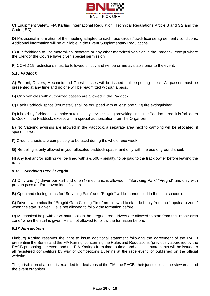

**C)** Equipment Safety. FIA Karting International Regulation, Technical Regulations Article 3 and 3.2 and the Code (ISC)

**D)** Provisional information of the meeting adapted to each race circuit / track license agreement / conditions. Additional information will be available in the Event Supplementary Regulations.

**E)** It is forbidden to use motorbikes, scooters or any other motorized vehicles in the Paddock, except where the Clerk of the Course have given special permission.

**F)** COVID 19 restrictions must be followed strictly and will be online available prior to the event.

#### *5.15 Paddock*

**A)** Entrant, Drivers, Mechanic and Guest passes will be issued at the sporting check. All passes must be presented at any time and no one will be readmitted without a pass.

**B)** Only vehicles with authorized passes are allowed in the Paddock.

**C)** Each Paddock space (8x6meter) shall be equipped with at least one 5 Kg fire extinguisher.

**D)** It is strictly forbidden to smoke or to use any device risking provoking fire in the Paddock area, it is forbidden to Cook in the Paddock, except with a special authorization from the Organizer

**E)** No Catering awnings are allowed in the Paddock, a separate area next to camping will be allocated, if space allows.

**F)** Ground sheets are compulsory to be used during the whole race week.

**G)** Refueling is only allowed in your allocated paddock space, and only with the use of ground sheet.

**H)** Any fuel and/or spilling will be fined with a € 500,- penalty, to be paid to the track owner before leaving the track.

# *5.16 Servicing Parc / Pregrid*

**A)** Only one (1) driver per kart and one (1) mechanic is allowed in "Servicing Park" "Pregrid" and only with proven pass and/or proven identification

**B)** Open and closing times for "Servicing Parc" and "Pregrid" will be announced in the time schedule.

**C)** Drivers who miss the "Pregrid Gate Closing Time" are allowed to start, but only from the "repair are zone" when the start is given. He is not allowed to follow the formation before.

**D)** Mechanical help with or without tools in the pregrid area, drivers are allowed to start from the "repair area zone" when the start is given. He is not allowed to follow the formation before.

#### *5.17 Jurisdictions*

Limburg Karting reserves the right to issue additional statement following the agreement of the RACB presenting the Series and the FIA Karting, concerning the Rules and Regulations (previously approved by the RACB proposing the event and the FIA Karting) from time to time, and all such statements will be issued to all registered competitors by way of Competitor's Bulletins at the race event, or published on the official website.

The jurisdiction of a court is excluded for decisions of the FIA, the RACB, their jurisdictions, the stewards, and the event organiser.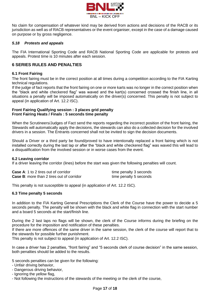

No claim for compensation of whatever kind may be derived from actions and decisions of the RACB or its jurisdiction as well as of RACB representatives or the event organiser, except in the case of a damage caused on purpose or by gross negligence.

#### *5.18 Protests and appeals*

The FIA International Sporting Code and RACB National Sporting Code are applicable for protests and appeals. Protest time is 10 minutes after each session.

# **6 SERIES RULES AND PENALTIES**

#### **6.1 Front Fairing**

The front fairing must be in the correct position at all times during a competition according to the FIA Karting technical regulations.

If the judge of fact reports that the front fairing on one or more karts was no longer in the correct position when the "black and white checkered flag" was waved and the kart(s) concerned crossed the finish line, in all situations a penalty will be imposed automatically on the driver(s) concerned. This penalty is not subject to appeal (in application of Art. 12.2 ISC).

#### **Front Fairing Qualifying session : 3 places grid penalty Front Fairing Heats / Finals : 5 seconds time penalty**

When the Scrutineers/Judges of Fact send the reports regarding the incorrect position of the front fairing, the Stewards will automatically apply the decisions, the stewards can also do a collected decision for the involved drivers in a session. The Entrants concerned shall not be invited to sign the decision documents.

Should a Driver or a third party be found/proved to have intentionally replaced a front fairing which is not installed correctly during the last lap or after the "black and white checkered flag" was waved this will lead to a disqualification from the involved session or in worse cases from the event.

#### **6.2 Leaving corridor**

If a driver leaving the corridor (lines) before the start was given the following penalties will count.

| <b>Case A: 1 to 2 tires out of corridor</b>      | time penalty 3 seconds |
|--------------------------------------------------|------------------------|
| <b>Case B:</b> more than 2 tires out of corridor | time penalty 5 seconds |

This penalty is not susceptible to appeal (in application of Art. 12.2 ISC).

#### **6.3 Time penalty 5 seconds**

In addition to the FIA Karting General Prescriptions the Clerk of the Course have the power to decide a 5 seconds penalty. The penalty will be shown with the black and white flag in connection with the start number and a board 5 seconds at the start/finish line.

During the 2 last laps no flags will be shown, the clerk of the Course informs during the briefing on the procedure for the imposition and notification of these penalties.

If there are more offences of the same driver in the same session, the clerk of the course will report that to the stewards for possible further punishment.

This penalty is not subject to appeal (in application of Art. 12.2 ISC).

In case a driver has 2 penalties, "front fairing" and "5 seconds clerk of course decision" in the same session, both penalties should be added to the results.

5 seconds penalties can be given for the following:

- Unfair driving behavior,
- Dangerous driving behavior,
- Ignoring the yellow flag,
- Not following the instructions of the stewards of the meeting or the clerk of the course,